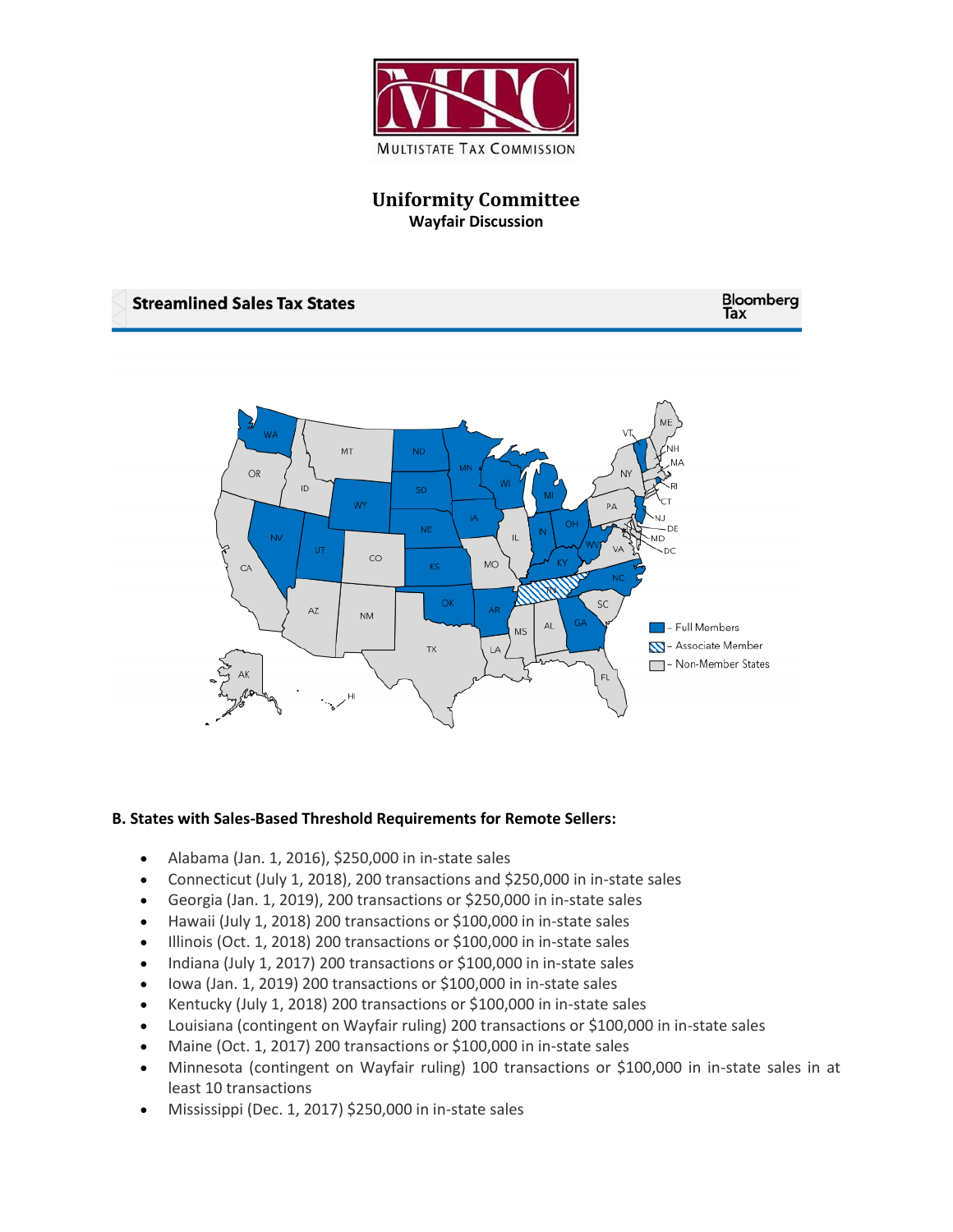

**Uniformity Committee Wayfair Discussion**



## **B. States with Sales-Based Threshold Requirements for Remote Sellers:**

- Alabama (Jan. 1, 2016), \$250,000 in in-state sales
- Connecticut (July 1, 2018), 200 transactions and \$250,000 in in-state sales
- Georgia (Jan. 1, 2019), 200 transactions or \$250,000 in in-state sales
- Hawaii (July 1, 2018) 200 transactions or \$100,000 in in-state sales
- Illinois (Oct. 1, 2018) 200 transactions or \$100,000 in in-state sales
- Indiana (July 1, 2017) 200 transactions or \$100,000 in in-state sales
- Iowa (Jan. 1, 2019) 200 transactions or \$100,000 in in-state sales
- Kentucky (July 1, 2018) 200 transactions or \$100,000 in in-state sales
- Louisiana (contingent on Wayfair ruling) 200 transactions or \$100,000 in in-state sales
- Maine (Oct. 1, 2017) 200 transactions or \$100,000 in in-state sales
- Minnesota (contingent on Wayfair ruling) 100 transactions or \$100,000 in in-state sales in at least 10 transactions
- Mississippi (Dec. 1, 2017) \$250,000 in in-state sales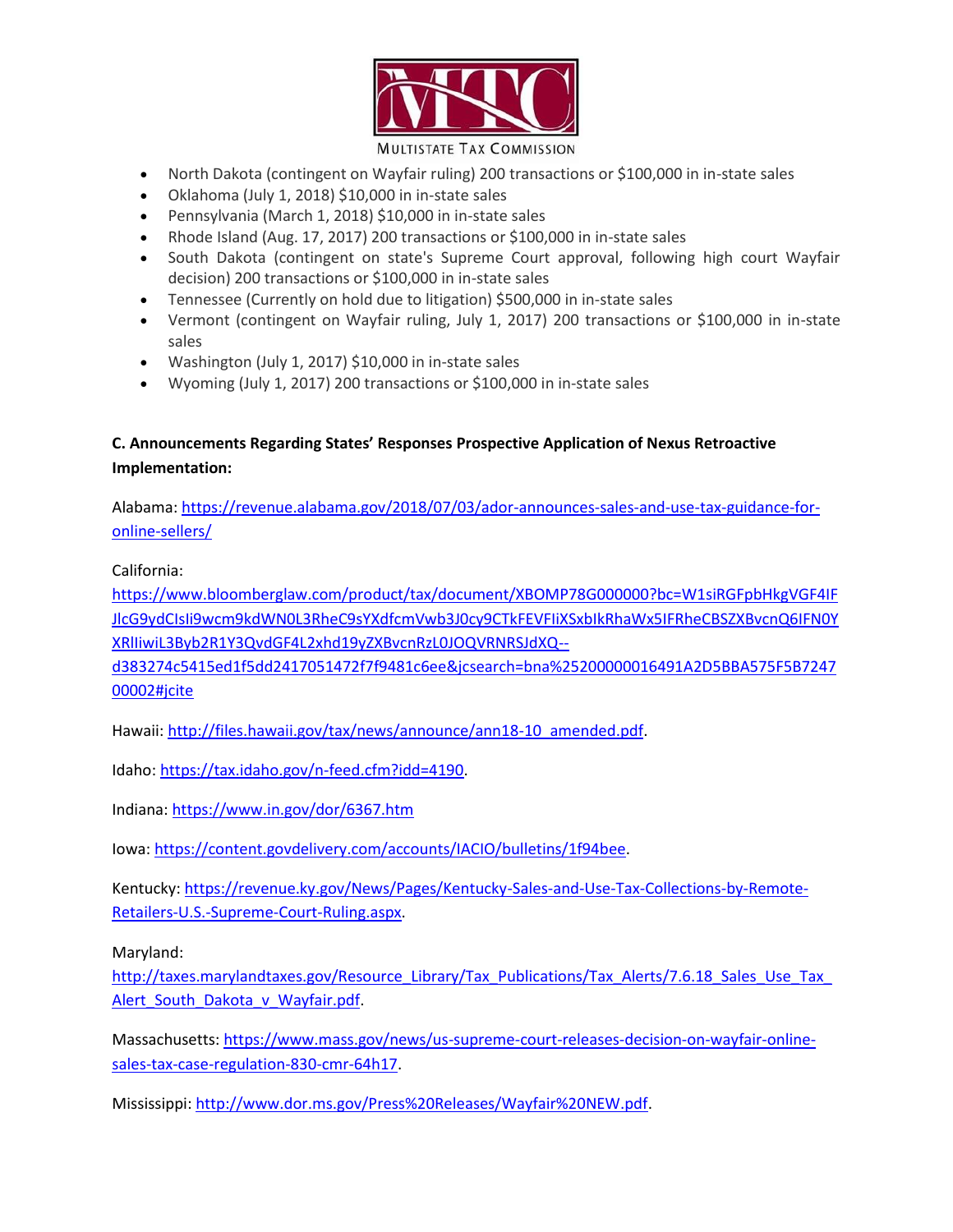

- North Dakota (contingent on Wayfair ruling) 200 transactions or \$100,000 in in-state sales
- Oklahoma (July 1, 2018) \$10,000 in in-state sales
- Pennsylvania (March 1, 2018) \$10,000 in in-state sales
- Rhode Island (Aug. 17, 2017) 200 transactions or \$100,000 in in-state sales
- South Dakota (contingent on state's Supreme Court approval, following high court Wayfair decision) 200 transactions or \$100,000 in in-state sales
- Tennessee (Currently on hold due to litigation) \$500,000 in in-state sales
- Vermont (contingent on Wayfair ruling, July 1, 2017) 200 transactions or \$100,000 in in-state sales
- Washington (July 1, 2017) \$10,000 in in-state sales
- Wyoming (July 1, 2017) 200 transactions or \$100,000 in in-state sales

## **C. Announcements Regarding States' Responses Prospective Application of Nexus Retroactive Implementation:**

Alabama[: https://revenue.alabama.gov/2018/07/03/ador-announces-sales-and-use-tax-guidance-for](https://revenue.alabama.gov/2018/07/03/ador-announces-sales-and-use-tax-guidance-for-online-sellers/)[online-sellers/](https://revenue.alabama.gov/2018/07/03/ador-announces-sales-and-use-tax-guidance-for-online-sellers/)

California:

[https://www.bloomberglaw.com/product/tax/document/XBOMP78G000000?bc=W1siRGFpbHkgVGF4IF](https://www.bloomberglaw.com/product/tax/document/XBOMP78G000000?bc=W1siRGFpbHkgVGF4IFJlcG9ydCIsIi9wcm9kdWN0L3RheC9sYXdfcmVwb3J0cy9CTkFEVFIiXSxbIkRhaWx5IFRheCBSZXBvcnQ6IFN0YXRlIiwiL3Byb2R1Y3QvdGF4L2xhd19yZXBvcnRzL0JOQVRNRSJdXQ--d383274c5415ed1f5dd2417051472f7f9481c6ee&jcsearch=bna%25200000016491A2D5BBA575F5B724700002#jcite) [JlcG9ydCIsIi9wcm9kdWN0L3RheC9sYXdfcmVwb3J0cy9CTkFEVFIiXSxbIkRhaWx5IFRheCBSZXBvcnQ6IFN0Y](https://www.bloomberglaw.com/product/tax/document/XBOMP78G000000?bc=W1siRGFpbHkgVGF4IFJlcG9ydCIsIi9wcm9kdWN0L3RheC9sYXdfcmVwb3J0cy9CTkFEVFIiXSxbIkRhaWx5IFRheCBSZXBvcnQ6IFN0YXRlIiwiL3Byb2R1Y3QvdGF4L2xhd19yZXBvcnRzL0JOQVRNRSJdXQ--d383274c5415ed1f5dd2417051472f7f9481c6ee&jcsearch=bna%25200000016491A2D5BBA575F5B724700002#jcite) [XRlIiwiL3Byb2R1Y3QvdGF4L2xhd19yZXBvcnRzL0JOQVRNRSJdXQ--](https://www.bloomberglaw.com/product/tax/document/XBOMP78G000000?bc=W1siRGFpbHkgVGF4IFJlcG9ydCIsIi9wcm9kdWN0L3RheC9sYXdfcmVwb3J0cy9CTkFEVFIiXSxbIkRhaWx5IFRheCBSZXBvcnQ6IFN0YXRlIiwiL3Byb2R1Y3QvdGF4L2xhd19yZXBvcnRzL0JOQVRNRSJdXQ--d383274c5415ed1f5dd2417051472f7f9481c6ee&jcsearch=bna%25200000016491A2D5BBA575F5B724700002#jcite)

[d383274c5415ed1f5dd2417051472f7f9481c6ee&jcsearch=bna%25200000016491A2D5BBA575F5B7247](https://www.bloomberglaw.com/product/tax/document/XBOMP78G000000?bc=W1siRGFpbHkgVGF4IFJlcG9ydCIsIi9wcm9kdWN0L3RheC9sYXdfcmVwb3J0cy9CTkFEVFIiXSxbIkRhaWx5IFRheCBSZXBvcnQ6IFN0YXRlIiwiL3Byb2R1Y3QvdGF4L2xhd19yZXBvcnRzL0JOQVRNRSJdXQ--d383274c5415ed1f5dd2417051472f7f9481c6ee&jcsearch=bna%25200000016491A2D5BBA575F5B724700002#jcite) [00002#jcite](https://www.bloomberglaw.com/product/tax/document/XBOMP78G000000?bc=W1siRGFpbHkgVGF4IFJlcG9ydCIsIi9wcm9kdWN0L3RheC9sYXdfcmVwb3J0cy9CTkFEVFIiXSxbIkRhaWx5IFRheCBSZXBvcnQ6IFN0YXRlIiwiL3Byb2R1Y3QvdGF4L2xhd19yZXBvcnRzL0JOQVRNRSJdXQ--d383274c5415ed1f5dd2417051472f7f9481c6ee&jcsearch=bna%25200000016491A2D5BBA575F5B724700002#jcite)

Hawaii[: http://files.hawaii.gov/tax/news/announce/ann18-10\\_amended.pdf.](http://files.hawaii.gov/tax/news/announce/ann18-10_amended.pdf)

Idaho: [https://tax.idaho.gov/n-feed.cfm?idd=4190.](https://tax.idaho.gov/n-feed.cfm?idd=4190)

Indiana[: https://www.in.gov/dor/6367.htm](https://www.in.gov/dor/6367.htm)

Iowa: [https://content.govdelivery.com/accounts/IACIO/bulletins/1f94bee.](https://content.govdelivery.com/accounts/IACIO/bulletins/1f94bee)

Kentucky[: https://revenue.ky.gov/News/Pages/Kentucky-Sales-and-Use-Tax-Collections-by-Remote-](https://revenue.ky.gov/News/Pages/Kentucky-Sales-and-Use-Tax-Collections-by-Remote-Retailers-U.S.-Supreme-Court-Ruling.aspx)[Retailers-U.S.-Supreme-Court-Ruling.aspx.](https://revenue.ky.gov/News/Pages/Kentucky-Sales-and-Use-Tax-Collections-by-Remote-Retailers-U.S.-Supreme-Court-Ruling.aspx)

Maryland:

[http://taxes.marylandtaxes.gov/Resource\\_Library/Tax\\_Publications/Tax\\_Alerts/7.6.18\\_Sales\\_Use\\_Tax\\_](http://taxes.marylandtaxes.gov/Resource_Library/Tax_Publications/Tax_Alerts/7.6.18_Sales_Use_Tax_Alert_South_Dakota_v_Wayfair.pdf) [Alert\\_South\\_Dakota\\_v\\_Wayfair.pdf.](http://taxes.marylandtaxes.gov/Resource_Library/Tax_Publications/Tax_Alerts/7.6.18_Sales_Use_Tax_Alert_South_Dakota_v_Wayfair.pdf)

Massachusetts[: https://www.mass.gov/news/us-supreme-court-releases-decision-on-wayfair-online](https://www.mass.gov/news/us-supreme-court-releases-decision-on-wayfair-online-sales-tax-case-regulation-830-cmr-64h17)[sales-tax-case-regulation-830-cmr-64h17.](https://www.mass.gov/news/us-supreme-court-releases-decision-on-wayfair-online-sales-tax-case-regulation-830-cmr-64h17)

Mississippi[: http://www.dor.ms.gov/Press%20Releases/Wayfair%20NEW.pdf.](http://www.dor.ms.gov/Press%20Releases/Wayfair%20NEW.pdf)